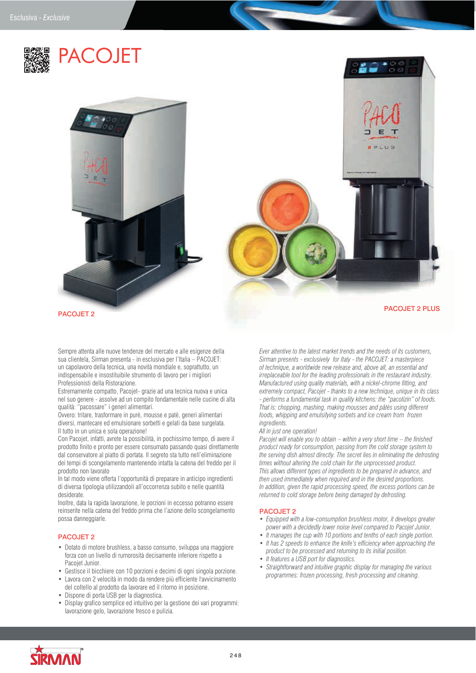



Sempre attenta alle nuove tendenze del mercato e alle esigenze della sua clientela, Sirman presenta - in esclusiva per l'Italia – PACOJET: un capolavoro della tecnica, una novità mondiale e, soprattutto, un indispensabile e insostituibile strumento di lavoro per i migliori Professionisti della Ristorazione.

Estremamente compatto, Pacojet- grazie ad una tecnica nuova e unica nel suo genere - assolve ad un compito fondamentale nelle cucine di alta qualità: "pacossare" i generi alimentari.

Ovvero: tritare, trasformare in purè, mousse e patè, generi alimentari diversi, mantecare ed emulsionare sorbetti e gelati da base surgelata. Il tutto in un unica e sola operazione!

Con Pacojet, infatti, avrete la possibilità, in pochissimo tempo, di avere il prodotto finito e pronto per essere consumato passando quasi direttamente dal conservatore al piatto di portata. Il segreto sta tutto nell'eliminazione dei tempi di scongelamento mantenendo intatta la catena del freddo per il prodotto non lavorato

In tal modo viene offerta l'opportunità di preparare in anticipo ingredienti di diversa tipologia utilizzandoli all'occorrenza subito e nelle quantità desiderate.

Inoltre, data la rapida lavorazione, le porzioni in eccesso potranno essere reinserite nella catena del freddo prima che l'azione dello scongelamento possa danneggiarle.

## PACOJET 2

- Dotato di motore brushless, a basso consumo, sviluppa una maggiore forza con un livello di rumorosità decisamente inferiore rispetto a Pacojet Junior.
- Gestisce il bicchiere con 10 porzioni e decimi di ogni singola porzione.
- Lavora con 2 velocità in modo da rendere più efficiente l'avvicinamento del coltello al prodotto da lavorare ed il ritorno in posizione.
- Dispone di porta USB per la diagnostica.
- Display grafico semplice ed intuitivo per la gestione dei vari programmi: lavorazione gelo, lavorazione fresco e pulizia.

*Ever attentive to the latest market trends and the needs of its customers, Sirman presents - exclusively for Italy - the PACOJET: a masterpiece of technique, a worldwide new release and, above all, an essential and irreplaceable tool for the leading professionals in the restaurant industry. Manufactured using quality materials, with a nickel-chrome fitting, and extremely compact, Pacojet - thanks to a new technique, unique in its class - performs a fundamental task in quality kitchens: the "pacotizin" of foods. That is: chopping, mashing, making mousses and pâtés using different foods, whipping and emulsifying sorbets and ice cream from frozen ingredients.*

## *All in just one operation!*

*Pacojet will enable you to obtain – within a very short time – the finished product ready for consumption, passing from the cold storage system to the serving dish almost directly. The secret lies in eliminating the defrosting times without altering the cold chain for the unprocessed product. This allows different types of ingredients to be prepared in advance, and then used immediately when required and in the desired proportions. In addition, given the rapid processing speed, the excess portions can be returned to cold storage before being damaged by defrosting.*

## PACOJET<sub>2</sub>

- *Equipped with a low-consumption brushless motor, it develops greater power with a decidedly lower noise level compared to Pacojet Junior.*
- *It manages the cup with 10 portions and tenths of each single portion.*
- *It has 2 speeds to enhance the knife's efficiency when approaching the product to be processed and returning to its initial position.*
- *It features a USB port for diagnostics.*
- *Straightforward and intuitive graphic display for managing the various programmes: frozen processing, fresh processing and cleaning.*